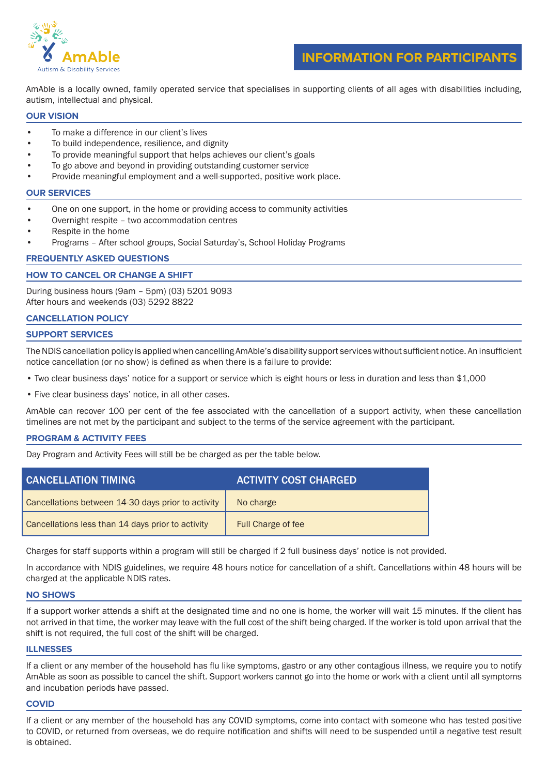

**INFORMATION FOR PARTICIPANTS**

AmAble is a locally owned, family operated service that specialises in supporting clients of all ages with disabilities including, autism, intellectual and physical.

## **OUR VISION**

- To make a difference in our client's lives
- To build independence, resilience, and dignity
- To provide meaningful support that helps achieves our client's goals
- To go above and beyond in providing outstanding customer service
- Provide meaningful employment and a well-supported, positive work place.

### **OUR SERVICES**

- One on one support, in the home or providing access to community activities
- Overnight respite two accommodation centres
- Respite in the home
- Programs After school groups, Social Saturday's, School Holiday Programs

## **FREQUENTLY ASKED QUESTIONS**

## **HOW TO CANCEL OR CHANGE A SHIFT**

During business hours (9am – 5pm) (03) 5201 9093 After hours and weekends (03) 5292 8822

## **CANCELLATION POLICY**

## **SUPPORT SERVICES**

The NDIS cancellation policy is applied when cancelling AmAble's disability support services without sufficient notice. An insufficient notice cancellation (or no show) is defined as when there is a failure to provide:

- Two clear business days' notice for a support or service which is eight hours or less in duration and less than \$1,000
- Five clear business days' notice, in all other cases.

AmAble can recover 100 per cent of the fee associated with the cancellation of a support activity, when these cancellation timelines are not met by the participant and subject to the terms of the service agreement with the participant.

## **PROGRAM & ACTIVITY FEES**

Day Program and Activity Fees will still be be charged as per the table below.

| <b>CANCELLATION TIMING</b>                         | <b>ACTIVITY COST CHARGED</b> |
|----------------------------------------------------|------------------------------|
| Cancellations between 14-30 days prior to activity | No charge                    |
| Cancellations less than 14 days prior to activity  | Full Charge of fee           |

Charges for staff supports within a program will still be charged if 2 full business days' notice is not provided.

In accordance with NDIS guidelines, we require 48 hours notice for cancellation of a shift. Cancellations within 48 hours will be charged at the applicable NDIS rates.

### **NO SHOWS**

If a support worker attends a shift at the designated time and no one is home, the worker will wait 15 minutes. If the client has not arrived in that time, the worker may leave with the full cost of the shift being charged. If the worker is told upon arrival that the shift is not required, the full cost of the shift will be charged.

### **ILLNESSES**

If a client or any member of the household has flu like symptoms, gastro or any other contagious illness, we require you to notify AmAble as soon as possible to cancel the shift. Support workers cannot go into the home or work with a client until all symptoms and incubation periods have passed.

### **COVID**

If a client or any member of the household has any COVID symptoms, come into contact with someone who has tested positive to COVID, or returned from overseas, we do require notification and shifts will need to be suspended until a negative test result is obtained.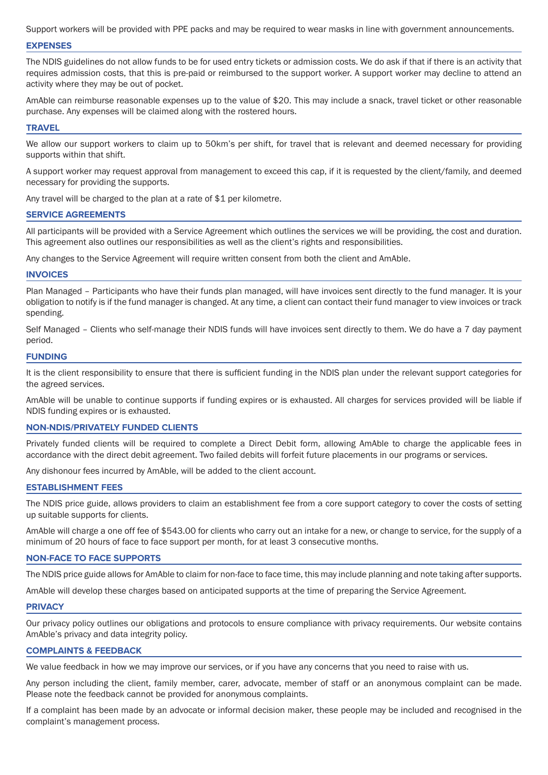Support workers will be provided with PPE packs and may be required to wear masks in line with government announcements.

### **EXPENSES**

The NDIS guidelines do not allow funds to be for used entry tickets or admission costs. We do ask if that if there is an activity that requires admission costs, that this is pre-paid or reimbursed to the support worker. A support worker may decline to attend an activity where they may be out of pocket.

AmAble can reimburse reasonable expenses up to the value of \$20. This may include a snack, travel ticket or other reasonable purchase. Any expenses will be claimed along with the rostered hours.

### **TRAVEL**

We allow our support workers to claim up to 50km's per shift, for travel that is relevant and deemed necessary for providing supports within that shift.

A support worker may request approval from management to exceed this cap, if it is requested by the client/family, and deemed necessary for providing the supports.

Any travel will be charged to the plan at a rate of \$1 per kilometre.

#### **SERVICE AGREEMENTS**

All participants will be provided with a Service Agreement which outlines the services we will be providing, the cost and duration. This agreement also outlines our responsibilities as well as the client's rights and responsibilities.

Any changes to the Service Agreement will require written consent from both the client and AmAble.

### **INVOICES**

Plan Managed – Participants who have their funds plan managed, will have invoices sent directly to the fund manager. It is your obligation to notify is if the fund manager is changed. At any time, a client can contact their fund manager to view invoices or track spending.

Self Managed – Clients who self-manage their NDIS funds will have invoices sent directly to them. We do have a 7 day payment period.

### **FUNDING**

It is the client responsibility to ensure that there is sufficient funding in the NDIS plan under the relevant support categories for the agreed services.

AmAble will be unable to continue supports if funding expires or is exhausted. All charges for services provided will be liable if NDIS funding expires or is exhausted.

## **NON-NDIS/PRIVATELY FUNDED CLIENTS**

Privately funded clients will be required to complete a Direct Debit form, allowing AmAble to charge the applicable fees in accordance with the direct debit agreement. Two failed debits will forfeit future placements in our programs or services.

Any dishonour fees incurred by AmAble, will be added to the client account.

#### **ESTABLISHMENT FEES**

The NDIS price guide, allows providers to claim an establishment fee from a core support category to cover the costs of setting up suitable supports for clients.

AmAble will charge a one off fee of \$543.00 for clients who carry out an intake for a new, or change to service, for the supply of a minimum of 20 hours of face to face support per month, for at least 3 consecutive months.

### **NON-FACE TO FACE SUPPORTS**

The NDIS price guide allows for AmAble to claim for non-face to face time, this may include planning and note taking after supports.

AmAble will develop these charges based on anticipated supports at the time of preparing the Service Agreement.

#### **PRIVACY**

Our privacy policy outlines our obligations and protocols to ensure compliance with privacy requirements. Our website contains AmAble's privacy and data integrity policy.

### **COMPLAINTS & FEEDBACK**

We value feedback in how we may improve our services, or if you have any concerns that you need to raise with us.

Any person including the client, family member, carer, advocate, member of staff or an anonymous complaint can be made. Please note the feedback cannot be provided for anonymous complaints.

If a complaint has been made by an advocate or informal decision maker, these people may be included and recognised in the complaint's management process.